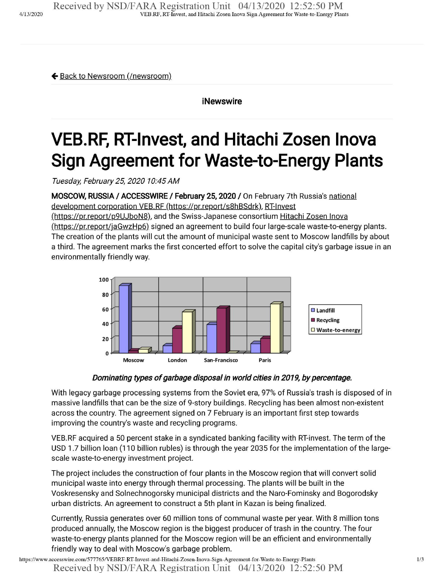← Back to Newsroom (/newsroom)

iNewswire

## **VEB.RF, RT-Invest, and Hitachi Zosen Inova Sign Agreement for Waste-to-Energy Plants**

*Tuesday, February 25, 2020 10:45AM*

**MOSCOW, RUSSIA / ACCESSWIRE** / **February 25,2020** / On February 7th Russia's national development corporation VEB.RF (https://pr.report/s8hBSdrk), RT-Invest

(https://pr.report/p9UJboN8). and the Swiss-Japanese consortium Hitachi Zosen Inova (https://pr.report/jaGwzHp6) signed an agreement to build four large-scale waste-to-energy plants. The creation of the plants will cut the amount of municipal waste sent to Moscow landfills by about a third. The agreement marks the first concerted effort to solve the capital city's garbage issue in an environmentally friendly way.



*Dominating types* of garbage disposal in world cities in 2019, by percentage.

With legacy garbage processing systems from the Soviet era, 97% of Russia's trash is disposed of in massive landfills that can be the size of 9-story buildings. Recycling has been almost non-existent across the country. The agreement signed on 7 February is an important first step towards improving the country's waste and recycling programs.

VEB.RF acquired a 50 percent stake in a syndicated banking facility with RT-invest. The term of the USD 1.7 billion loan (110 billion rubles) is through the year 2035 for the implementation of the largescale waste-to-energy investment project.

The project includes the construction of four plants in the Moscow region that will convert solid municipal waste into energy through thermal processing. The plants will be built in the Voskresensky and Solnechnogorsky municipal districts and the Naro-Fominsky and Bogorodsky urban districts. An agreement to construct a 5th plant in Kazan is being finalized.

Currently, Russia generates over 60 million tons of communal waste per year. With 8 million tons produced annually, the Moscow region is the biggest producer of trash in the country. The four waste-to-energy plants planned for the Moscow region will be an efficient and environmentally friendly way to deal with Moscow's garbage problem.

https://www.accesswire.com/577765/VEBRF-RT-Invest-and-Hitachi-Zosen-Inova-Sign-Agreement-for-Waste-to-Energy-Plants Received by NSD/FARA Registration Unit 04/13/2020 12:52:50 PM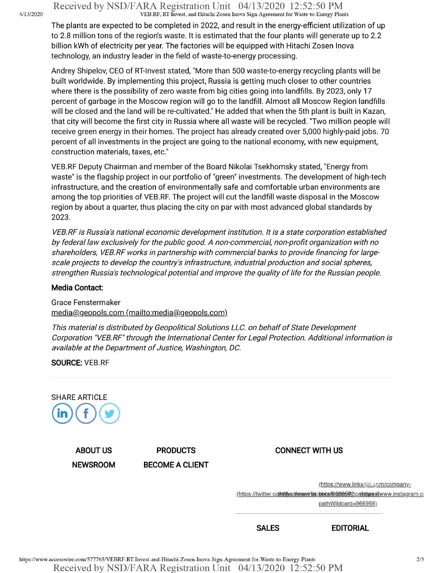Received by NSD/FARA Registration Unit 04/13/2020 12:52:50 PM VEB.RF. RT-Invest, and Hitachi Zosen Inova Sign Agreement for Waste-to-Energy Plants

The plants are expected to be completed in 2022, and result in the energy-efficient utilization of up to 2.8 million tons of the region's waste. It is estimated that the four plants will generate up to 2.2 billion kWh of electricity per year. The factories will be equipped with Hitachi Zosen Inova technology, an industry leader in the field of waste-to-energy processing.

Andrey Shipelov, CEO of RT-Invest stated, "More than 500 waste-to-energy recycling plants will be built worldwide. By implementing this project, Russia is getting much closer to other countries where there is the possibility of zero waste from big cities going into landfills. By 2023, only 17 percent of garbage in the Moscow region will go to the landfill. Almost all Moscow Region landfills will be closed and the land will be re-cultivated." He added that when the 5th plant is built in Kazan, that city will become the first city in Russia where all waste will be recycled. "Two million people will receive green energy in their homes. The project has already created over 5,000 highly-paid jobs. 70 percent of all investments in the project are going to the national economy, with new equipment, construction materials, taxes, etc."

VEB.RF Deputy Chairman and member of the Board Nikolai Tsekhomsky stated, "Energy from waste" is the flagship project in our portfolio of "green" investments. The development of high-tech infrastructure, and the creation of environmentally safe and comfortable urban environments are among the top priorities of VEB.RF. The project will cut the landfill waste disposal in the Moscow region by about a quarter, thus placing the city on par with most advanced global standards by 2023.

*VEB.RFis Russia's national economic development institution. It is a state corporation established by federal law exclusively for the public good. A non-commercial, non-profit organization with no shareholders, VEB.RF works in partnership with commercial banks to provide financing forlargescale projects to develop the country's infrastructure, industrialproduction and socialspheres, strengthen Russia's technologicalpotential and improve the quality oflife for the Russian people.*

## **Media Contact:**

Grace Fenstermaker media@geopols.com (mailto:media@geopols.com)

*This material is distributed by Geopolitical Solutions LLC. on behalfofState Development Corporation "VEB.RF" through the International Center for Legal Protection. Additionalinformation is available at the Department ofJustice, Washington, DC.*

**SOURCE:** VEB.RF



**NEWSROOM BECOME A CLIENT**

**ABOUT US PRODUCTS CONNECT WITH US**

(https://www.linkedin.com/company-

(https://twitter.co(imithec/enswirfe)cbbta/B.669563cce(stupise/jwww.instagram.ci

pathWildcard=966956)

**SALES EDITORIAL**